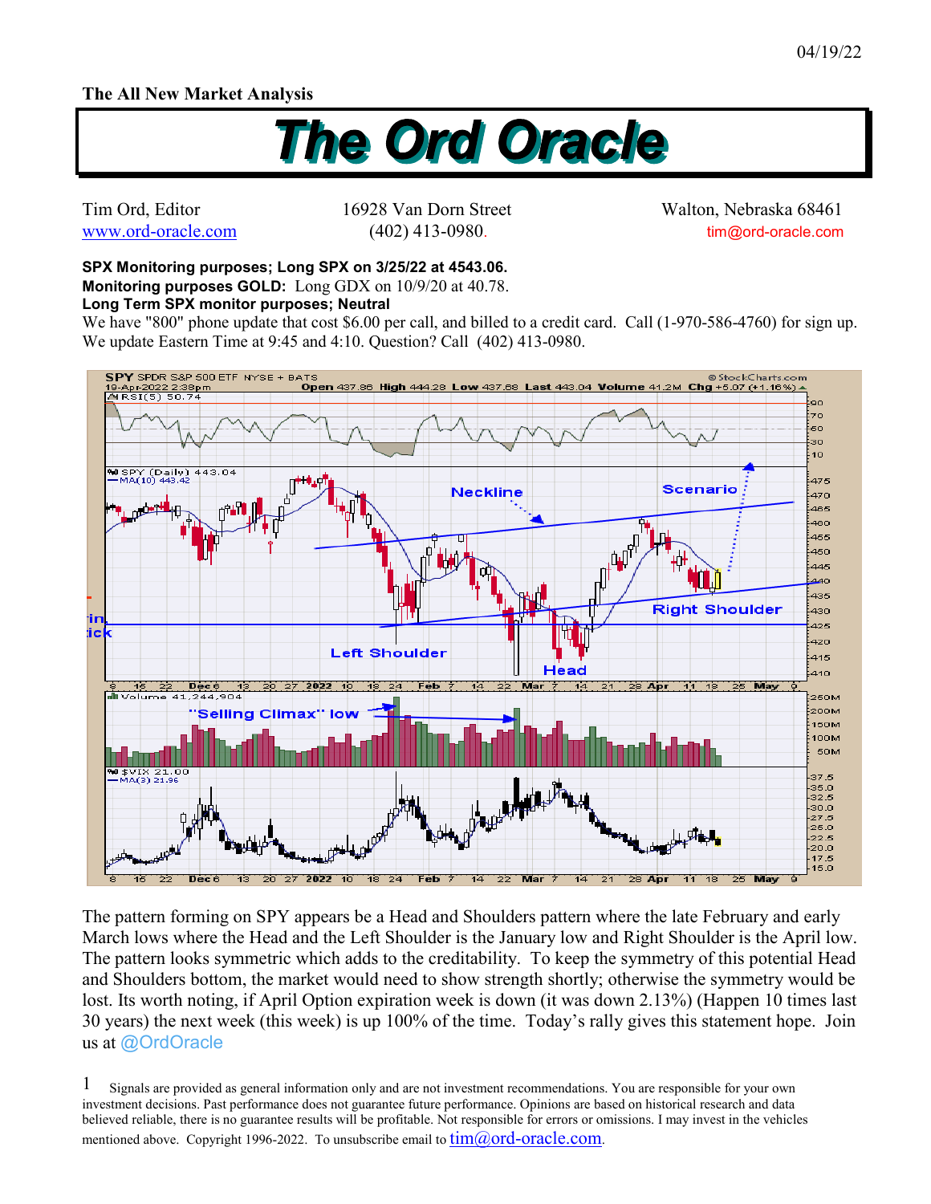## **The All New Market Analysis**



Tim Ord, Editor 16928 Van Dorn Street Walton, Nebraska 68461 www.ord-oracle.com (402) 413-0980. tim@ord-oracle.com

## **SPX Monitoring purposes; Long SPX on 3/25/22 at 4543.06. Monitoring purposes GOLD:** Long GDX on 10/9/20 at 40.78.

## **Long Term SPX monitor purposes; Neutral**

We have "800" phone update that cost \$6.00 per call, and billed to a credit card. Call (1-970-586-4760) for sign up. We update Eastern Time at 9:45 and 4:10. Question? Call (402) 413-0980.



The pattern forming on SPY appears be a Head and Shoulders pattern where the late February and early March lows where the Head and the Left Shoulder is the January low and Right Shoulder is the April low. The pattern looks symmetric which adds to the creditability. To keep the symmetry of this potential Head and Shoulders bottom, the market would need to show strength shortly; otherwise the symmetry would be lost. Its worth noting, if April Option expiration week is down (it was down 2.13%) (Happen 10 times last 30 years) the next week (this week) is up 100% of the time. Today's rally gives this statement hope. Join us at @OrdOracle

Signals are provided as general information only and are not investment recommendations. You are responsible for your own investment decisions. Past performance does not guarantee future performance. Opinions are based on historical research and data believed reliable, there is no guarantee results will be profitable. Not responsible for errors or omissions. I may invest in the vehicles mentioned above. Copyright 1996-2022. To unsubscribe email to  $\lim(\partial_{\theta} \text{ord-oracle.com})$ . 1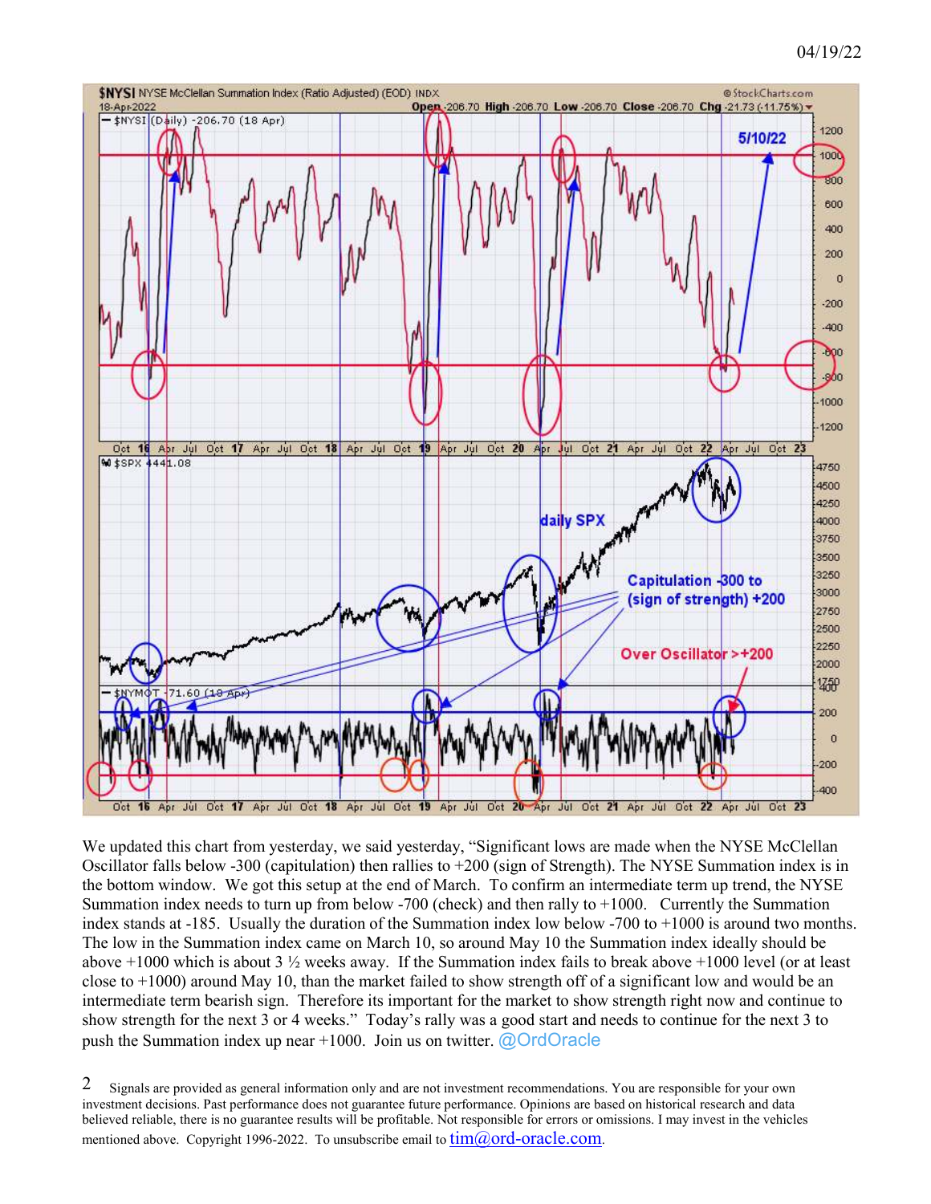

We updated this chart from yesterday, we said yesterday, "Significant lows are made when the NYSE McClellan Oscillator falls below -300 (capitulation) then rallies to +200 (sign of Strength). The NYSE Summation index is in the bottom window. We got this setup at the end of March. To confirm an intermediate term up trend, the NYSE Summation index needs to turn up from below -700 (check) and then rally to +1000. Currently the Summation index stands at -185. Usually the duration of the Summation index low below -700 to +1000 is around two months. The low in the Summation index came on March 10, so around May 10 the Summation index ideally should be above  $+1000$  which is about 3  $\frac{1}{2}$  weeks away. If the Summation index fails to break above  $+1000$  level (or at least close to +1000) around May 10, than the market failed to show strength off of a significant low and would be an intermediate term bearish sign. Therefore its important for the market to show strength right now and continue to show strength for the next 3 or 4 weeks." Today's rally was a good start and needs to continue for the next 3 to push the Summation index up near  $+1000$ . Join us on twitter. @OrdOracle

Signals are provided as general information only and are not investment recommendations. You are responsible for your own investment decisions. Past performance does not guarantee future performance. Opinions are based on historical research and data believed reliable, there is no guarantee results will be profitable. Not responsible for errors or omissions. I may invest in the vehicles mentioned above. Copyright 1996-2022. To unsubscribe email to  $\lim_{\omega}(\partial \text{ord-oracle.com})$ . 2